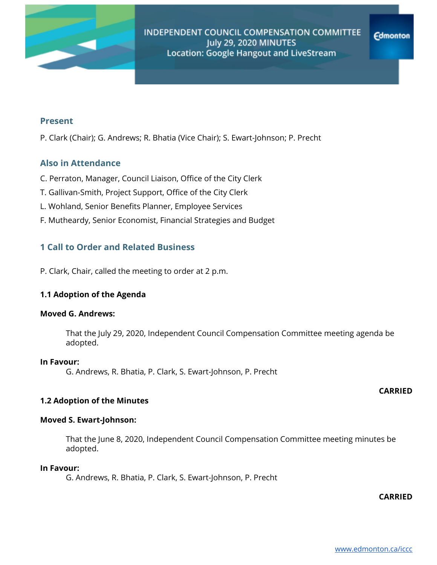

### **Present**

P. Clark (Chair); G. Andrews; R. Bhatia (Vice Chair); S. Ewart-Johnson; P. Precht

# **Also in Attendance**

- C. Perraton, Manager, Council Liaison, Office of the City Clerk
- T. Gallivan-Smith, Project Support, Office of the City Clerk
- L. Wohland, Senior Benefits Planner, Employee Services
- F. Mutheardy, Senior Economist, Financial Strategies and Budget

# **1 Call to Order and Related Business**

P. Clark, Chair, called the meeting to order at 2 p.m.

### **1.1 Adoption of the Agenda**

#### **Moved G. Andrews:**

That the July 29, 2020, Independent Council Compensation Committee meeting agenda be adopted.

#### **In Favour:**

G. Andrews, R. Bhatia, P. Clark, S. Ewart-Johnson, P. Precht

### **CARRIED**

### **1.2 Adoption of the Minutes**

### **Moved S. Ewart-Johnson:**

That the June 8, 2020, Independent Council Compensation Committee meeting minutes be adopted.

### **In Favour:**

G. Andrews, R. Bhatia, P. Clark, S. Ewart-Johnson, P. Precht

**CARRIED**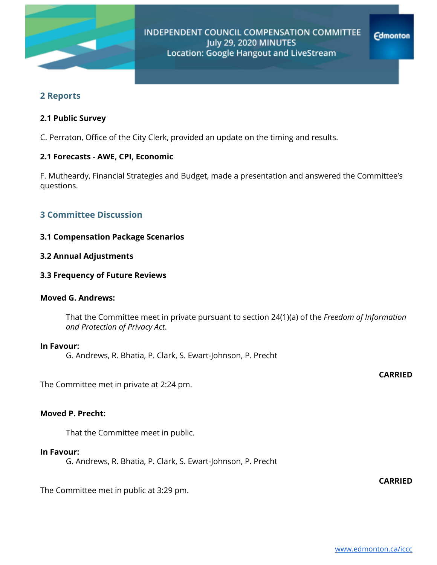

# **2 Reports**

### **2.1 Public Survey**

C. Perraton, Office of the City Clerk, provided an update on the timing and results.

### **2.1 Forecasts - AWE, CPI, Economic**

F. Mutheardy, Financial Strategies and Budget, made a presentation and answered the Committee's questions.

# **3 Committee Discussion**

### **3.1 Compensation Package Scenarios**

### **3.2 Annual Adjustments**

#### **3.3 Frequency of Future Reviews**

### **Moved G. Andrews:**

That the Committee meet in private pursuant to section 24(1)(a) of the *Freedom of Information and Protection of Privacy Act*.

### **In Favour:**

G. Andrews, R. Bhatia, P. Clark, S. Ewart-Johnson, P. Precht

The Committee met in private at 2:24 pm.

#### **Moved P. Precht:**

That the Committee meet in public.

#### **In Favour:**

G. Andrews, R. Bhatia, P. Clark, S. Ewart-Johnson, P. Precht

The Committee met in public at 3:29 pm.

**CARRIED**

**CARRIED**